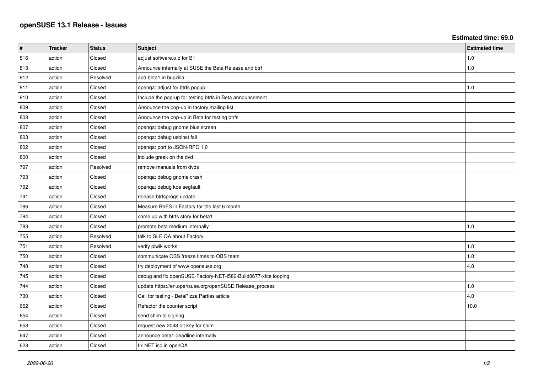**Estimated time: 69.0**

| $\vert$ # | <b>Tracker</b> | <b>Status</b> | <b>Subject</b>                                                 | <b>Estimated time</b> |
|-----------|----------------|---------------|----------------------------------------------------------------|-----------------------|
| 816       | action         | Closed        | adjust software.o.o for B1                                     | 1.0                   |
| 813       | action         | Closed        | Announce internally at SUSE the Beta Release and btrf          | 1.0                   |
| 812       | action         | Resolved      | add beta1 in bugzilla                                          |                       |
| 811       | action         | Closed        | openqa: adjust for btrfs popup                                 | 1.0                   |
| 810       | action         | Closed        | Include the pop-up for testing btrfs in Beta announcement      |                       |
| 809       | action         | Closed        | Announce the pop-up in factory mailing list                    |                       |
| 808       | action         | Closed        | Announce the pop-up in Beta for testing btrfs                  |                       |
| 807       | action         | Closed        | openqa: debug gnome blue screen                                |                       |
| 803       | action         | Closed        | openqa: debug usbinst fail                                     |                       |
| 802       | action         | Closed        | openqa: port to JSON-RPC 1.0                                   |                       |
| 800       | action         | Closed        | include greek on the dvd                                       |                       |
| 797       | action         | Resolved      | remove manuals from dvds                                       |                       |
| 793       | action         | Closed        | openqa: debug gnome crash                                      |                       |
| 792       | action         | Closed        | openqa: debug kde segfault                                     |                       |
| 791       | action         | Closed        | release btrfsprogs update                                      |                       |
| 786       | action         | Closed        | Measure BtrFS in Factory for the last 6 month                  |                       |
| 784       | action         | Closed        | come up with btrfs story for beta1                             |                       |
| 783       | action         | Closed        | promote beta medium internally                                 | 1.0                   |
| 755       | action         | Resolved      | talk to SLE QA about Factory                                   |                       |
| 751       | action         | Resolved      | verify piwik works                                             | 1.0                   |
| 750       | action         | Closed        | communicate OBS freeze times to OBS team                       | 1.0                   |
| 748       | action         | Closed        | try deployment of www.opensuse.org                             | 4.0                   |
| 745       | action         | Closed        | debug and fix openSUSE-Factory-NET-i586-Build0677-xfce looping |                       |
| 744       | action         | Closed        | update https://en.opensuse.org/openSUSE:Release_process        | 1.0                   |
| 730       | action         | Closed        | Call for testing - BetaPizza Parties article                   | 4.0                   |
| 662       | action         | Closed        | Refactor the counter script                                    | 10.0                  |
| 654       | action         | Closed        | send shim to signing                                           |                       |
| 653       | action         | Closed        | request new 2048 bit key for shim                              |                       |
| 647       | action         | Closed        | announce beta1 deadline internally                             |                       |
| 628       | action         | Closed        | fix NET iso in openQA                                          |                       |